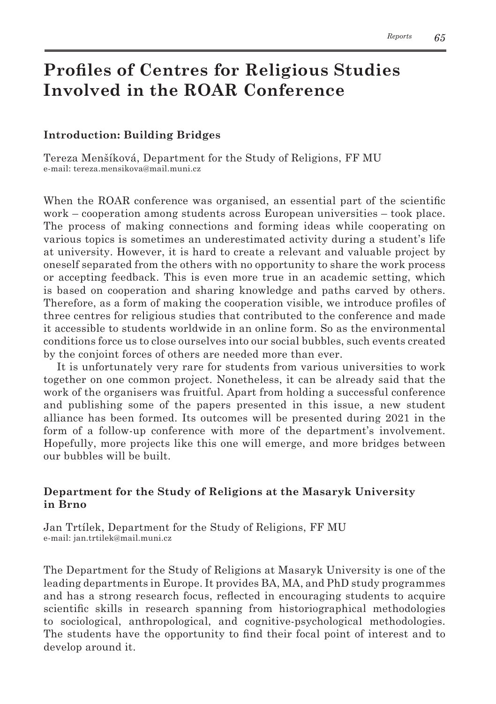# **Profiles of Centres for Religious Studies Involved in the ROAR Conference**

### **Introduction: Building Bridges**

Tereza Menšíková, Department for the Study of Religions, FF MU e-mail: tereza.mensikova@mail.muni.cz

When the ROAR conference was organised, an essential part of the scientific work – cooperation among students across European universities – took place. The process of making connections and forming ideas while cooperating on various topics is sometimes an underestimated activity during a student's life at university. However, it is hard to create a relevant and valuable project by oneself separated from the others with no opportunity to share the work process or accepting feedback. This is even more true in an academic setting, which is based on cooperation and sharing knowledge and paths carved by others. Therefore, as a form of making the cooperation visible, we introduce profiles of three centres for religious studies that contributed to the conference and made it accessible to students worldwide in an online form. So as the environmental conditions force us to close ourselves into our social bubbles, such events created by the conjoint forces of others are needed more than ever.

It is unfortunately very rare for students from various universities to work together on one common project. Nonetheless, it can be already said that the work of the organisers was fruitful. Apart from holding a successful conference and publishing some of the papers presented in this issue, a new student alliance has been formed. Its outcomes will be presented during 2021 in the form of a follow-up conference with more of the department's involvement. Hopefully, more projects like this one will emerge, and more bridges between our bubbles will be built.

## **Department for the Study of Religions at the Masaryk University in Brno**

Jan Trtílek, Department for the Study of Religions, FF MU e-mail: jan.trtilek@mail.muni.cz

The Department for the Study of Religions at Masaryk University is one of the leading departments in Europe. It provides BA, MA, and PhD study programmes and has a strong research focus, reflected in encouraging students to acquire scientific skills in research spanning from historiographical methodologies to sociological, anthropological, and cognitive-psychological methodologies. The students have the opportunity to find their focal point of interest and to develop around it.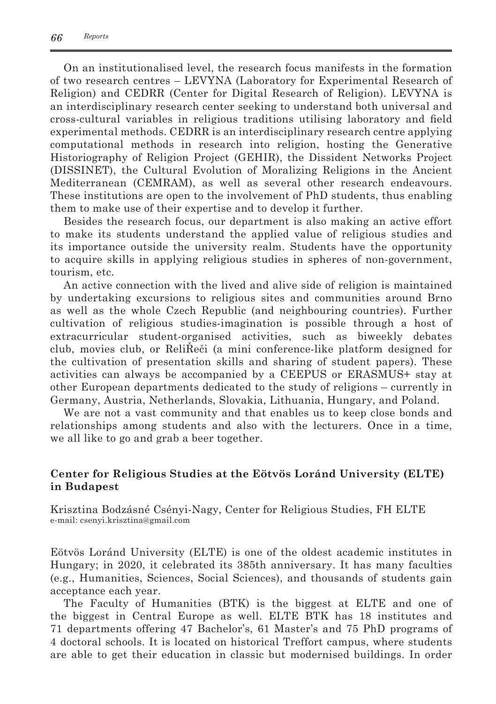On an institutionalised level, the research focus manifests in the formation of two research centres – LEVYNA (Laboratory for Experimental Research of Religion) and CEDRR (Center for Digital Research of Religion). LEVYNA is an interdisciplinary research center seeking to understand both universal and cross-cultural variables in religious traditions utilising laboratory and field experimental methods. CEDRR is an interdisciplinary research centre applying computational methods in research into religion, hosting the Generative Historiography of Religion Project (GEHIR), the Dissident Networks Project (DISSINET), the Cultural Evolution of Moralizing Religions in the Ancient Mediterranean (CEMRAM), as well as several other research endeavours. These institutions are open to the involvement of PhD students, thus enabling them to make use of their expertise and to develop it further.

Besides the research focus, our department is also making an active effort to make its students understand the applied value of religious studies and its importance outside the university realm. Students have the opportunity to acquire skills in applying religious studies in spheres of non-government, tourism, etc.

An active connection with the lived and alive side of religion is maintained by undertaking excursions to religious sites and communities around Brno as well as the whole Czech Republic (and neighbouring countries). Further cultivation of religious studies-imagination is possible through a host of extracurricular student-organised activities, such as biweekly debates club, movies club, or ReliŘeči (a mini conference-like platform designed for the cultivation of presentation skills and sharing of student papers). These activities can always be accompanied by a CEEPUS or ERASMUS+ stay at other European departments dedicated to the study of religions – currently in Germany, Austria, Netherlands, Slovakia, Lithuania, Hungary, and Poland.

We are not a vast community and that enables us to keep close bonds and relationships among students and also with the lecturers. Once in a time, we all like to go and grab a beer together.

### **Center for Religious Studies at the Eötvös Loránd University (ELTE) in Budapest**

Krisztina Bodzásné Csényi-Nagy, Center for Religious Studies, FH ELTE e-mail: csenyi.krisztina@gmail.com

Eötvös Loránd University (ELTE) is one of the oldest academic institutes in Hungary; in 2020, it celebrated its 385th anniversary. It has many faculties (e.g., Humanities, Sciences, Social Sciences), and thousands of students gain acceptance each year.

The Faculty of Humanities (BTK) is the biggest at ELTE and one of the biggest in Central Europe as well. ELTE BTK has 18 institutes and 71 departments offering 47 Bachelor's, 61 Master's and 75 PhD programs of 4 doctoral schools. It is located on historical Treffort campus, where students are able to get their education in classic but modernised buildings. In order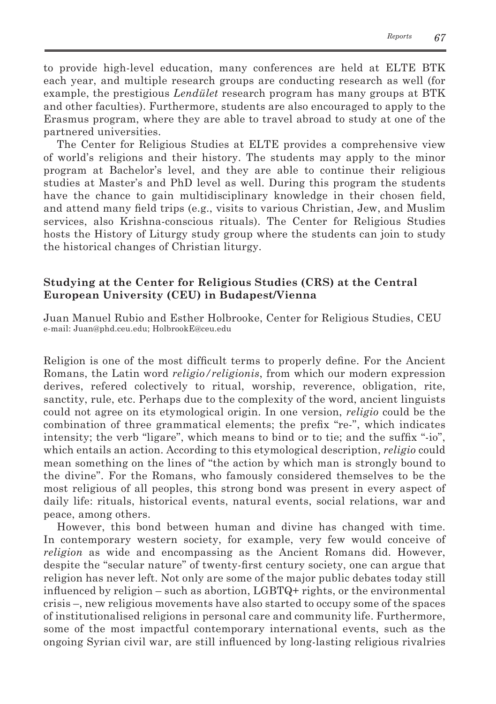to provide high-level education, many conferences are held at ELTE BTK each year, and multiple research groups are conducting research as well (for example, the prestigious *Lendület* research program has many groups at BTK and other faculties). Furthermore, students are also encouraged to apply to the Erasmus program, where they are able to travel abroad to study at one of the partnered universities.

The Center for Religious Studies at ELTE provides a comprehensive view of world's religions and their history. The students may apply to the minor program at Bachelor's level, and they are able to continue their religious studies at Master's and PhD level as well. During this program the students have the chance to gain multidisciplinary knowledge in their chosen field, and attend many field trips (e.g., visits to various Christian, Jew, and Muslim services, also Krishna-conscious rituals). The Center for Religious Studies hosts the History of Liturgy study group where the students can join to study the historical changes of Christian liturgy.

## **Studying at the Center for Religious Studies (CRS) at the Central European University (CEU) in Budapest/Vienna**

Juan Manuel Rubio and Esther Holbrooke, Center for Religious Studies, CEU e-mail: Juan@phd.ceu.edu; HolbrookE@ceu.edu

Religion is one of the most difficult terms to properly define. For the Ancient Romans, the Latin word *religio/religionis*, from which our modern expression derives, refered colectively to ritual, worship, reverence, obligation, rite, sanctity, rule, etc. Perhaps due to the complexity of the word, ancient linguists could not agree on its etymological origin. In one version, *religio* could be the combination of three grammatical elements; the prefix "re-", which indicates intensity; the verb "ligare", which means to bind or to tie; and the suffix "-io", which entails an action. According to this etymological description, *religio* could mean something on the lines of "the action by which man is strongly bound to the divine". For the Romans, who famously considered themselves to be the most religious of all peoples, this strong bond was present in every aspect of daily life: rituals, historical events, natural events, social relations, war and peace, among others.

However, this bond between human and divine has changed with time. In contemporary western society, for example, very few would conceive of *religion* as wide and encompassing as the Ancient Romans did. However, despite the "secular nature" of twenty-first century society, one can argue that religion has never left. Not only are some of the major public debates today still influenced by religion – such as abortion, LGBTQ+ rights, or the environmental crisis –, new religious movements have also started to occupy some of the spaces of institutionalised religions in personal care and community life. Furthermore, some of the most impactful contemporary international events, such as the ongoing Syrian civil war, are still influenced by long-lasting religious rivalries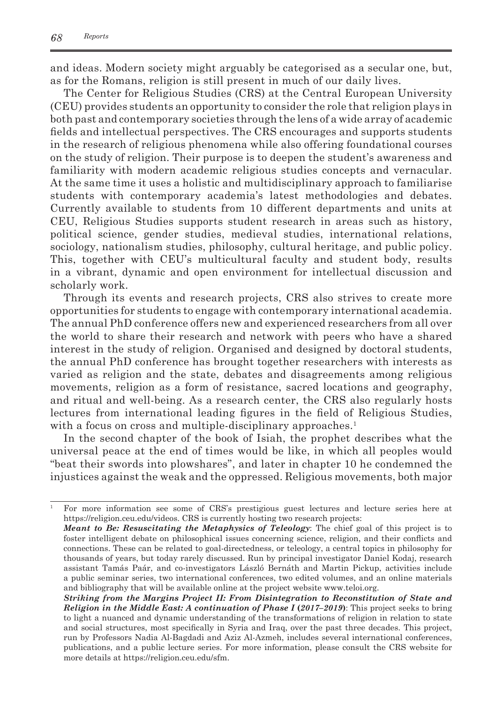and ideas. Modern society might arguably be categorised as a secular one, but, as for the Romans, religion is still present in much of our daily lives.

The Center for Religious Studies (CRS) at the Central European University (CEU) provides students an opportunity to consider the role that religion plays in both past and contemporary societies through the lens of a wide array of academic fields and intellectual perspectives. The CRS encourages and supports students in the research of religious phenomena while also offering foundational courses on the study of religion. Their purpose is to deepen the student's awareness and familiarity with modern academic religious studies concepts and vernacular. At the same time it uses a holistic and multidisciplinary approach to familiarise students with contemporary academia's latest methodologies and debates. Currently available to students from 10 different departments and units at CEU, Religious Studies supports student research in areas such as history, political science, gender studies, medieval studies, international relations, sociology, nationalism studies, philosophy, cultural heritage, and public policy. This, together with CEU's multicultural faculty and student body, results in a vibrant, dynamic and open environment for intellectual discussion and scholarly work.

Through its events and research projects, CRS also strives to create more opportunities for students to engage with contemporary international academia. The annual PhD conference offers new and experienced researchers from all over the world to share their research and network with peers who have a shared interest in the study of religion. Organised and designed by doctoral students, the annual PhD conference has brought together researchers with interests as varied as religion and the state, debates and disagreements among religious movements, religion as a form of resistance, sacred locations and geography, and ritual and well-being. As a research center, the CRS also regularly hosts lectures from international leading figures in the field of Religious Studies, with a focus on cross and multiple-disciplinary approaches.<sup>1</sup>

In the second chapter of the book of Isiah, the prophet describes what the universal peace at the end of times would be like, in which all peoples would "beat their swords into plowshares", and later in chapter 10 he condemned the injustices against the weak and the oppressed. Religious movements, both major

<sup>1</sup> For more information see some of CRS's prestigious guest lectures and lecture series here at https://religion.ceu.edu/videos. CRS is currently hosting two research projects:

*Striking from the Margins Project II: From Disintegration to Reconstitution of State and Religion in the Middle East: A continuation of Phase I* **(***2017–2019***)**: This project seeks to bring to light a nuanced and dynamic understanding of the transformations of religion in relation to state and social structures, most specifically in Syria and Iraq, over the past three decades. This project, run by Professors Nadia Al-Bagdadi and Aziz Al-Azmeh, includes several international conferences, publications, and a public lecture series. For more information, please consult the CRS website for more details at https://religion.ceu.edu/sfm.

*Meant to Be: Resuscitating the Metaphysics of Teleology*: The chief goal of this project is to foster intelligent debate on philosophical issues concerning science, religion, and their conflicts and connections. These can be related to goal-directedness, or teleology, a central topics in philosophy for thousands of years, but today rarely discussed. Run by principal investigator Daniel Kodaj, research assistant Tamás Paár, and co-investigators László Bernáth and Martin Pickup, activities include a public seminar series, two international conferences, two edited volumes, and an online materials and bibliography that will be available online at the project website www.teloi.org.